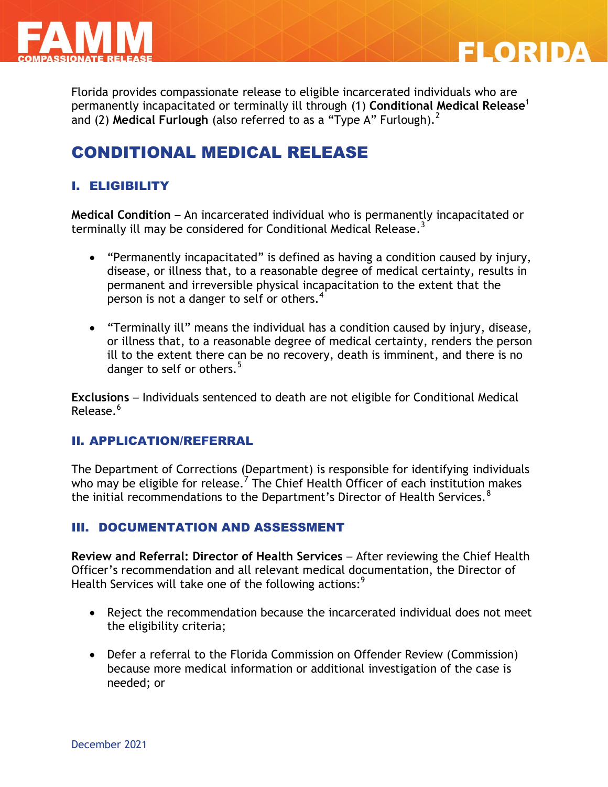

Florida provides compassionate release to eligible incarcerated individuals who are permanently incapacitated or terminally ill through (1) **Conditional Medical Release**<sup>1</sup> and (2) Medical Furlough (also referred to as a "Type A" Furlough).<sup>2</sup>

FLORIDA

# CONDITIONAL MEDICAL RELEASE

# I. ELIGIBILITY

**Medical Condition** – An incarcerated individual who is permanently incapacitated or terminally ill may be considered for Conditional Medical Release. $^3$ 

- "Permanently incapacitated" is defined as having a condition caused by injury, disease, or illness that, to a reasonable degree of medical certainty, results in permanent and irreversible physical incapacitation to the extent that the person is not a danger to self or others.<sup>4</sup>
- "Terminally ill" means the individual has a condition caused by injury, disease, or illness that, to a reasonable degree of medical certainty, renders the person ill to the extent there can be no recovery, death is imminent, and there is no danger to self or others.<sup>5</sup>

**Exclusions** – Individuals sentenced to death are not eligible for Conditional Medical Release.<sup>6</sup>

#### II. APPLICATION/REFERRAL

The Department of Corrections (Department) is responsible for identifying individuals who may be eligible for release.  $^7$  The Chief Health Officer of each institution makes the initial recommendations to the Department's Director of Health Services.<sup>8</sup>

### III. DOCUMENTATION AND ASSESSMENT

**Review and Referral: Director of Health Services** – After reviewing the Chief Health Officer's recommendation and all relevant medical documentation, the Director of Health Services will take one of the following actions: $^9$ 

- Reject the recommendation because the incarcerated individual does not meet the eligibility criteria;
- Defer a referral to the Florida Commission on Offender Review (Commission) because more medical information or additional investigation of the case is needed; or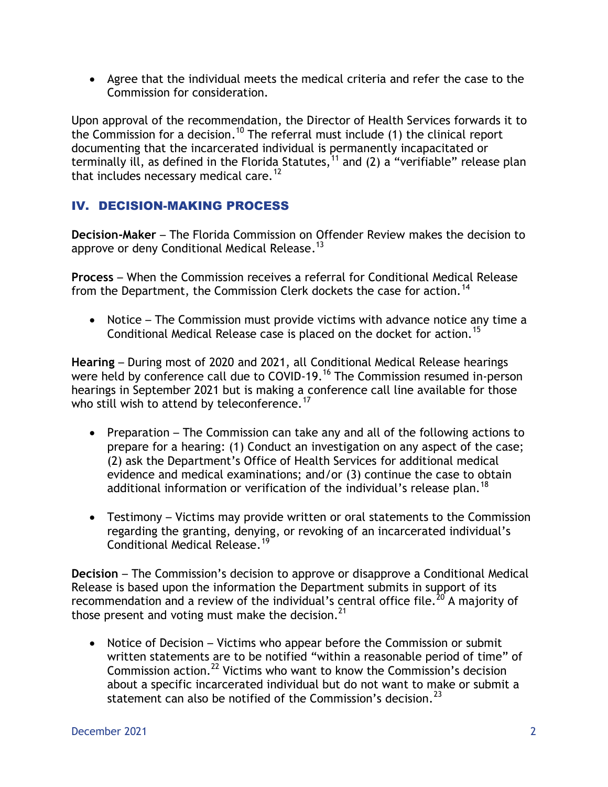Agree that the individual meets the medical criteria and refer the case to the Commission for consideration.

Upon approval of the recommendation, the Director of Health Services forwards it to the Commission for a decision.<sup>10</sup> The referral must include (1) the clinical report documenting that the incarcerated individual is permanently incapacitated or terminally ill, as defined in the Florida Statutes,<sup>11</sup> and (2) a "verifiable" release plan that includes necessary medical care.<sup>12</sup>

## IV. DECISION-MAKING PROCESS

**Decision-Maker** – The Florida Commission on Offender Review makes the decision to approve or deny Conditional Medical Release.<sup>13</sup>

**Process** – When the Commission receives a referral for Conditional Medical Release from the Department, the Commission Clerk dockets the case for action.<sup>14</sup>

• Notice – The Commission must provide victims with advance notice any time a Conditional Medical Release case is placed on the docket for action.<sup>15</sup>

**Hearing** – During most of 2020 and 2021, all Conditional Medical Release hearings were held by conference call due to COVID-19.<sup>16</sup> The Commission resumed in-person hearings in September 2021 but is making a conference call line available for those who still wish to attend by teleconference.<sup>17</sup>

- Preparation The Commission can take any and all of the following actions to prepare for a hearing: (1) Conduct an investigation on any aspect of the case; (2) ask the Department's Office of Health Services for additional medical evidence and medical examinations; and/or (3) continue the case to obtain additional information or verification of the individual's release plan.<sup>18</sup>
- Testimony Victims may provide written or oral statements to the Commission regarding the granting, denying, or revoking of an incarcerated individual's Conditional Medical Release.<sup>19</sup>

**Decision** – The Commission's decision to approve or disapprove a Conditional Medical Release is based upon the information the Department submits in support of its recommendation and a review of the individual's central office file.<sup>20</sup> A majority of those present and voting must make the decision.<sup>21</sup>

• Notice of Decision – Victims who appear before the Commission or submit written statements are to be notified "within a reasonable period of time" of Commission action.<sup>22</sup> Victims who want to know the Commission's decision about a specific incarcerated individual but do not want to make or submit a statement can also be notified of the Commission's decision.<sup>23</sup>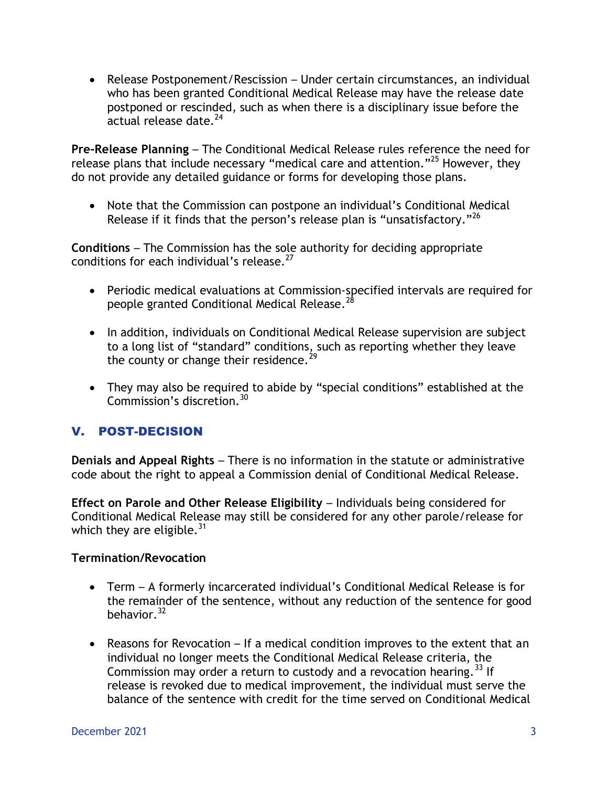Release Postponement/Rescission – Under certain circumstances, an individual who has been granted Conditional Medical Release may have the release date postponed or rescinded, such as when there is a disciplinary issue before the  $\alpha$ ctual release date. $^{24}$ 

**Pre-Release Planning** – The Conditional Medical Release rules reference the need for release plans that include necessary "medical care and attention."<sup>25</sup> However, they do not provide any detailed guidance or forms for developing those plans.

 Note that the Commission can postpone an individual's Conditional Medical Release if it finds that the person's release plan is "unsatisfactory."<sup>26</sup>

**Conditions** – The Commission has the sole authority for deciding appropriate conditions for each individual's release. $27$ 

- Periodic medical evaluations at Commission-specified intervals are required for people granted Conditional Medical Release.
- In addition, individuals on Conditional Medical Release supervision are subject to a long list of "standard" conditions, such as reporting whether they leave the county or change their residence.<sup>29</sup>
- They may also be required to abide by "special conditions" established at the Commission's discretion.<sup>30</sup>

## V. POST-DECISION

**Denials and Appeal Rights** – There is no information in the statute or administrative code about the right to appeal a Commission denial of Conditional Medical Release.

**Effect on Parole and Other Release Eligibility** – Individuals being considered for Conditional Medical Release may still be considered for any other parole/release for which they are eligible.  $^{31}$ 

### **Termination/Revocation**

- Term A formerly incarcerated individual's Conditional Medical Release is for the remainder of the sentence, without any reduction of the sentence for good behavior.  $32$
- Reasons for Revocation If a medical condition improves to the extent that an individual no longer meets the Conditional Medical Release criteria, the Commission may order a return to custody and a revocation hearing.<sup>33</sup> If release is revoked due to medical improvement, the individual must serve the balance of the sentence with credit for the time served on Conditional Medical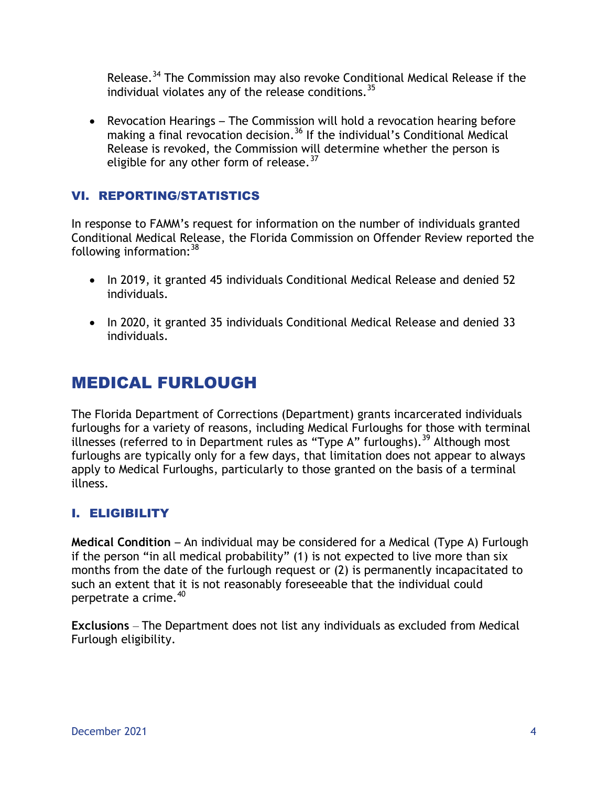Release.<sup>34</sup> The Commission may also revoke Conditional Medical Release if the individual violates any of the release conditions.  $35$ 

 Revocation Hearings – The Commission will hold a revocation hearing before making a final revocation decision.<sup>36</sup> If the individual's Conditional Medical Release is revoked, the Commission will determine whether the person is eligible for any other form of release.  $37$ 

### VI. REPORTING/STATISTICS

In response to FAMM's request for information on the number of individuals granted Conditional Medical Release, the Florida Commission on Offender Review reported the following information:  $38$ 

- In 2019, it granted 45 individuals Conditional Medical Release and denied 52 individuals.
- In 2020, it granted 35 individuals Conditional Medical Release and denied 33 individuals.

# MEDICAL FURLOUGH

The Florida Department of Corrections (Department) grants incarcerated individuals furloughs for a variety of reasons, including Medical Furloughs for those with terminal illnesses (referred to in Department rules as "Type A" furloughs).<sup>39</sup> Although most furloughs are typically only for a few days, that limitation does not appear to always apply to Medical Furloughs, particularly to those granted on the basis of a terminal illness.

## I. ELIGIBILITY

**Medical Condition** – An individual may be considered for a Medical (Type A) Furlough if the person "in all medical probability" (1) is not expected to live more than six months from the date of the furlough request or (2) is permanently incapacitated to such an extent that it is not reasonably foreseeable that the individual could perpetrate a crime. $40$ 

**Exclusions** – The Department does not list any individuals as excluded from Medical Furlough eligibility.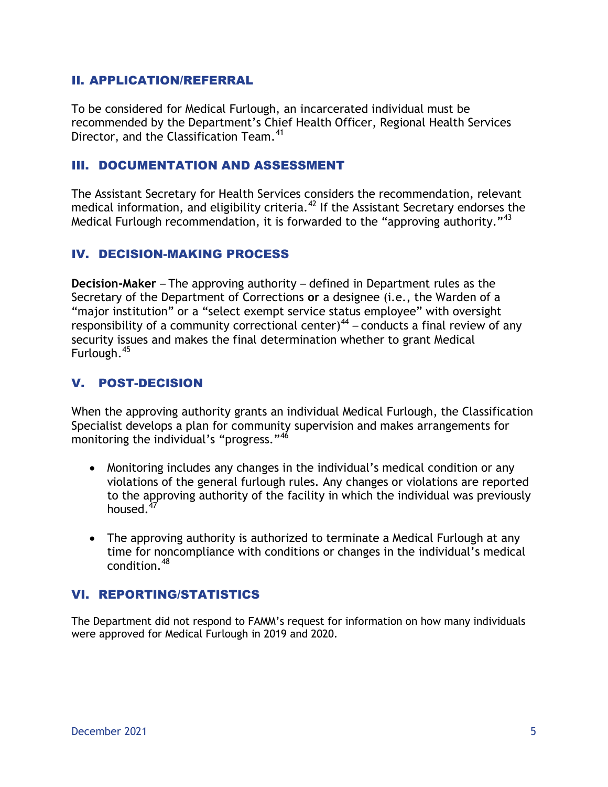#### II. APPLICATION/REFERRAL

To be considered for Medical Furlough, an incarcerated individual must be recommended by the Department's Chief Health Officer, Regional Health Services Director, and the Classification Team.<sup>41</sup>

#### III. DOCUMENTATION AND ASSESSMENT

The Assistant Secretary for Health Services considers the recommendation, relevant medical information, and eligibility criteria.<sup>42</sup> If the Assistant Secretary endorses the Medical Furlough recommendation, it is forwarded to the "approving authority."<sup>43</sup>

#### IV. DECISION-MAKING PROCESS

**Decision-Maker** – The approving authority – defined in Department rules as the Secretary of the Department of Corrections **or** a designee (i.e., the Warden of a "major institution" or a "select exempt service status employee" with oversight responsibility of a community correctional center)<sup>44</sup> – conducts a final review of any security issues and makes the final determination whether to grant Medical Furlough.<sup>45</sup>

### V. POST-DECISION

When the approving authority grants an individual Medical Furlough, the Classification Specialist develops a plan for community supervision and makes arrangements for monitoring the individual's "progress."<sup>46</sup>

- Monitoring includes any changes in the individual's medical condition or any violations of the general furlough rules. Any changes or violations are reported to the approving authority of the facility in which the individual was previously housed. $4$
- The approving authority is authorized to terminate a Medical Furlough at any time for noncompliance with conditions or changes in the individual's medical condition.<sup>48</sup>

### VI. REPORTING/STATISTICS

The Department did not respond to FAMM's request for information on how many individuals were approved for Medical Furlough in 2019 and 2020.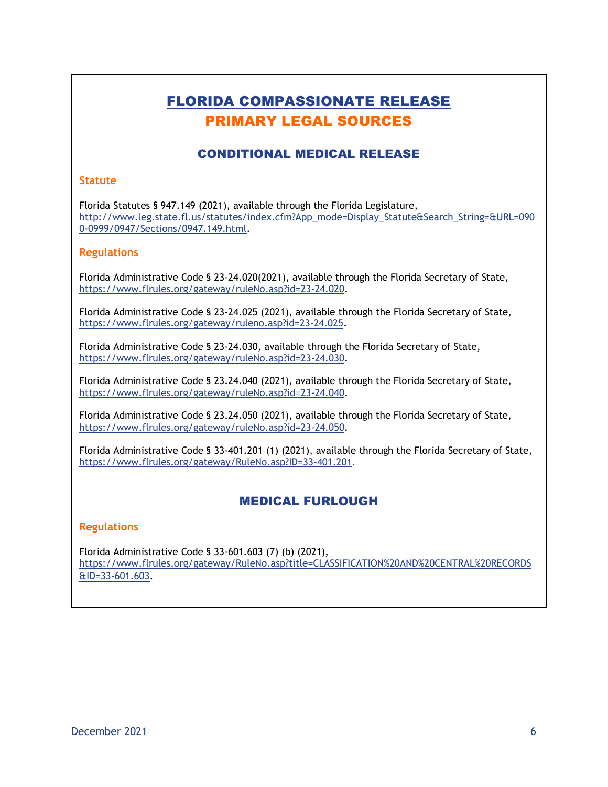# FLORIDA COMPASSIONATE RELEASE PRIMARY LEGAL SOURCES

### CONDITIONAL MEDICAL RELEASE

#### **Statute**

Florida Statutes § 947.149 (2021), available through the Florida Legislature, [http://www.leg.state.fl.us/statutes/index.cfm?App\\_mode=Display\\_Statute&Search\\_String=&URL=090](http://www.leg.state.fl.us/statutes/index.cfm?App_mode=Display_Statute&Search_String=&URL=0900-0999/0947/Sections/0947.149.html) [0-0999/0947/Sections/0947.149.html.](http://www.leg.state.fl.us/statutes/index.cfm?App_mode=Display_Statute&Search_String=&URL=0900-0999/0947/Sections/0947.149.html)

#### **Regulations**

Florida Administrative Code § 23-24.020(2021), available through the Florida Secretary of State, [https://www.flrules.org/gateway/ruleNo.asp?id=23-24.020.](https://www.flrules.org/gateway/ruleNo.asp?id=23-24.020)

Florida Administrative Code § 23-24.025 (2021), available through the Florida Secretary of State, [https://www.flrules.org/gateway/ruleno.asp?id=23-24.025.](https://www.flrules.org/gateway/ruleno.asp?id=23-24.025)

Florida Administrative Code § 23-24.030, available through the Florida Secretary of State, [https://www.flrules.org/gateway/ruleNo.asp?id=23-24.030.](https://www.flrules.org/gateway/ruleNo.asp?id=23-24.030)

Florida Administrative Code § 23.24.040 (2021), available through the Florida Secretary of State, [https://www.flrules.org/gateway/ruleNo.asp?id=23-24.040.](https://www.flrules.org/gateway/ruleNo.asp?id=23-24.040)

Florida Administrative Code § 23.24.050 (2021), available through the Florida Secretary of State, [https://www.flrules.org/gateway/ruleNo.asp?id=23-24.050.](https://www.flrules.org/gateway/ruleNo.asp?id=23-24.050)

Florida Administrative Code § 33-401.201 (1) (2021), available through the Florida Secretary of State, [https://www.flrules.org/gateway/RuleNo.asp?ID=33-401.201.](https://www.flrules.org/gateway/RuleNo.asp?ID=33-401.201)

#### MEDICAL FURLOUGH

#### **Regulations**

Florida Administrative Code § 33-601.603 (7) (b) (2021), https://www.flrules.org/gateway/RuleNo.asp?title=CLASSIFICATION%20AND%20CENTRAL%20RECORDS &ID=33-601.603.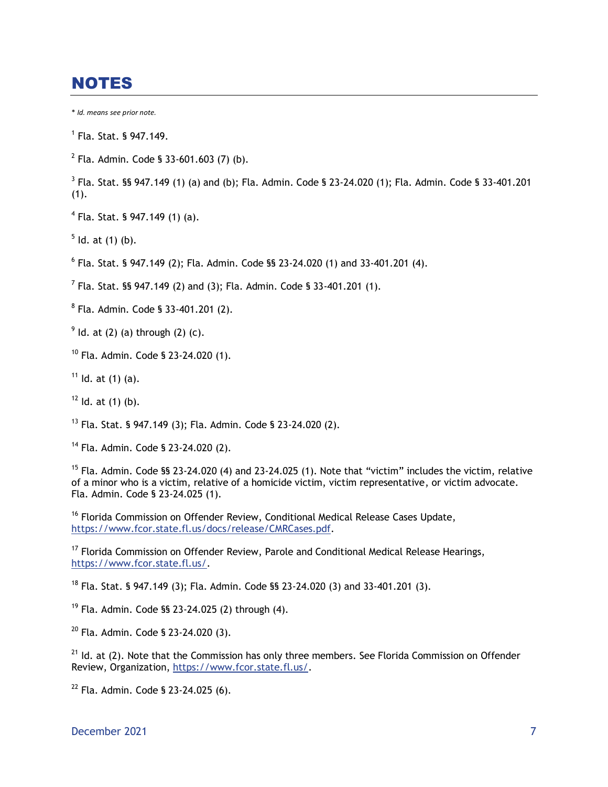# **NOTES**

\* *Id. means see prior note.*

1 Fla. Stat. § 947.149.

 $2$  Fla. Admin. Code § 33-601.603 (7) (b).

 $3$  Fla. Stat. §§ 947.149 (1) (a) and (b); Fla. Admin. Code § 23-24.020 (1); Fla. Admin. Code § 33-401.201  $(1).$ 

- 4 Fla. Stat. § 947.149 (1) (a).
- $5$  ld. at (1) (b).

 $6$  Fla. Stat. § 947.149 (2); Fla. Admin. Code §§ 23-24.020 (1) and 33-401.201 (4).

<sup>7</sup> Fla. Stat. §§ 947.149 (2) and (3); Fla. Admin. Code § 33-401.201 (1).

8 Fla. Admin. Code § 33-401.201 (2).

 $9$  ld. at (2) (a) through (2) (c).

- $10$  Fla. Admin. Code § 23-24.020 (1).
- $11$  Id. at (1) (a).
- $12$  Id. at (1) (b).

<sup>13</sup> Fla. Stat. § 947.149 (3); Fla. Admin. Code § 23-24.020 (2).

<sup>14</sup> Fla. Admin. Code § 23-24.020 (2).

<sup>15</sup> Fla. Admin. Code §§ 23-24.020 (4) and 23-24.025 (1). Note that "victim" includes the victim, relative of a minor who is a victim, relative of a homicide victim, victim representative, or victim advocate. Fla. Admin. Code § 23-24.025 (1).

<sup>16</sup> Florida Commission on Offender Review, Conditional Medical Release Cases Update, [https://www.fcor.state.fl.us/docs/release/CMRCases.pdf.](https://www.fcor.state.fl.us/docs/release/CMRCases.pdf)

<sup>17</sup> Florida Commission on Offender Review, Parole and Conditional Medical Release Hearings, [https://www.fcor.state.fl.us/.](https://www.fcor.state.fl.us/)

<sup>18</sup> Fla. Stat. § 947.149 (3); Fla. Admin. Code §§ 23-24.020 (3) and 33-401.201 (3).

<sup>19</sup> Fla. Admin. Code §§ 23-24.025 (2) through (4).

<sup>20</sup> Fla. Admin. Code § 23-24.020 (3).

 $21$  Id. at (2). Note that the Commission has only three members. See Florida Commission on Offender Review, Organization, [https://www.fcor.state.fl.us/.](https://www.fcor.state.fl.us/)

 $22$  Fla. Admin. Code § 23-24.025 (6).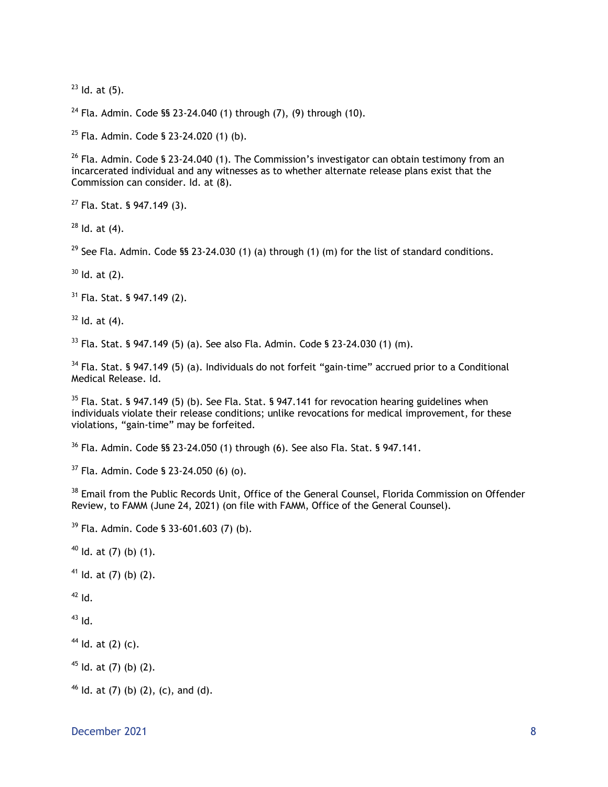ld. at  $(5)$ .

<sup>24</sup> Fla. Admin. Code §§ 23-24.040 (1) through  $(7)$ ,  $(9)$  through  $(10)$ .

Fla. Admin. Code § 23-24.020 (1) (b).

 Fla. Admin. Code § 23-24.040 (1). The Commission's investigator can obtain testimony from an incarcerated individual and any witnesses as to whether alternate release plans exist that the Commission can consider. Id. at (8).

Fla. Stat. § 947.149 (3).

Id. at (4).

<sup>29</sup> See Fla. Admin. Code §§ 23-24.030 (1) (a) through (1) (m) for the list of standard conditions.

Id. at (2).

Fla. Stat. § 947.149 (2).

ld. at (4).

Fla. Stat. § 947.149 (5) (a). See also Fla. Admin. Code § 23-24.030 (1) (m).

 Fla. Stat. § 947.149 (5) (a). Individuals do not forfeit "gain-time" accrued prior to a Conditional Medical Release. Id.

 Fla. Stat. § 947.149 (5) (b). See Fla. Stat. § 947.141 for revocation hearing guidelines when individuals violate their release conditions; unlike revocations for medical improvement, for these violations, "gain-time" may be forfeited.

Fla. Admin. Code §§ 23-24.050 (1) through (6). See also Fla. Stat. § 947.141.

Fla. Admin. Code § 23-24.050 (6) (o).

<sup>38</sup> Email from the Public Records Unit, Office of the General Counsel, Florida Commission on Offender Review, to FAMM (June 24, 2021) (on file with FAMM, Office of the General Counsel).

Fla. Admin. Code § 33-601.603 (7) (b).

Id. at (7) (b) (1).

Id. at (7) (b) (2).

Id.

Id.

Id. at (2) (c).

ld. at (7) (b) (2).

ld. at (7) (b) (2), (c), and (d).